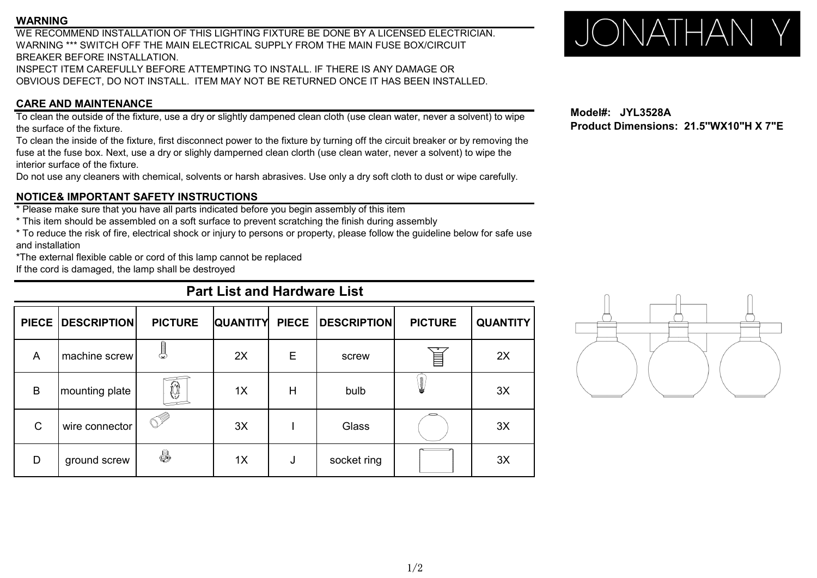#### **WARNING**

WE RECOMMEND INSTALLATION OF THIS LIGHTING FIXTURE BE DONE BY A LICENSED ELECTRICIAN. WARNING \*\*\* SWITCH OFF THE MAIN ELECTRICAL SUPPLY FROM THE MAIN FUSE BOX/CIRCUIT BREAKER BEFORE INSTALLATION. INSPECT ITEM CAREFULLY BEFORE ATTEMPTING TO INSTALL. IF THERE IS ANY DAMAGE OR OBVIOUS DEFECT, DO NOT INSTALL. ITEM MAY NOT BE RETURNED ONCE IT HAS BEEN INSTALLED.

## **CARE AND MAINTENANCE**

To clean the outside of the fixture, use a dry or slightly dampened clean cloth (use clean water, never a solvent) to wipe the surface of the fixture.

To clean the inside of the fixture, first disconnect power to the fixture by turning off the circuit breaker or by removing the fuse at the fuse box. Next, use a dry or slighly damperned clean clorth (use clean water, never a solvent) to wipe the interior surface of the fixture.

Do not use any cleaners with chemical, solvents or harsh abrasives. Use only a dry soft cloth to dust or wipe carefully.

## **NOTICE& IMPORTANT SAFETY INSTRUCTIONS**

\* Please make sure that you have all parts indicated before you begin assembly of this item

\* This item should be assembled on a soft surface to prevent scratching the finish during assembly

\* To reduce the risk of fire, electrical shock or injury to persons or property, please follow the guideline below for safe use and installation

\*The external flexible cable or cord of this lamp cannot be replaced

If the cord is damaged, the lamp shall be destroyed

# **Part List and Hardware List**

|             | PIECE DESCRIPTION | <b>PICTURE</b> | <b>QUANTITY</b> | <b>PIECE</b> | <b>DESCRIPTION</b> | <b>PICTURE</b> | <b>QUANTITY</b> |
|-------------|-------------------|----------------|-----------------|--------------|--------------------|----------------|-----------------|
| A           | machine screw     | I<br>೦         | 2X              | Е            | screw              |                | 2X              |
| B           | mounting plate    | $\bigcirc$     | 1X              | Н            | bulb               | Į              | 3X              |
| $\mathsf C$ | wire connector    | $\lll$         | 3X              |              | Glass              |                | 3X              |
| D           | ground screw      | 5              | 1X              | J            | socket ring        |                | 3X              |

# JONATHAN Y

**Model#: JYL3528A Product Dimensions: 21.5''WX10"H X 7"E**